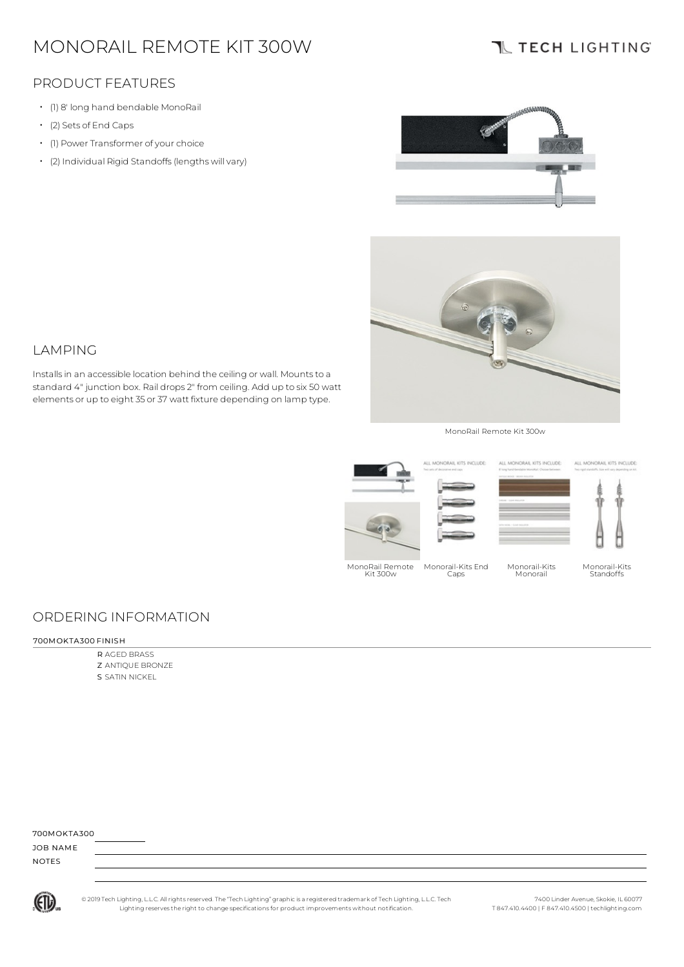# MONORAIL REMOTE KIT 300W

Installsin an accessible location behind the ceiling or wall. Mountsto a standard 4" junction box. Rail drops 2" from ceiling. Add up to six 50 watt elements or up to eight 35 or 37 watt fixture depending on lamp type.

## **IL TECH LIGHTING**

### PRODUCT FEATURES

- (1) 8' long hand bendable MonoRail
- (2) Sets of End Caps

LAMPING

- (1) Power Transformer of your choice
- (2) Individual Rigid Standoffs (lengths will vary)





#### MonoRail Remote Kit 300w



### ORDERING INFORMATION

#### 700MOKTA300 FINISH

R AGED BRASS Z ANTIQUE BRONZE S SATIN NICKEL

| 700MOKTA300  |  |  |  |
|--------------|--|--|--|
| JOB NAME     |  |  |  |
| <b>NOTES</b> |  |  |  |



© 2019 Tech Lighting, L.L.C. All rightsreserved. The "Tech Lighting" graphicis a registered trademark of Tech Lighting, L.L.C. Tech Lighting reservesthe right to change specificationsfor product improvements without notification.